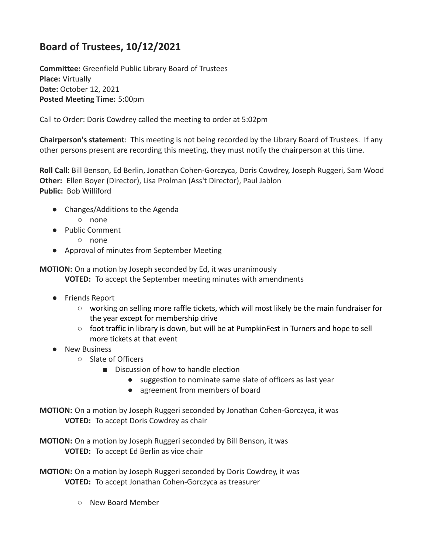## **Board of Trustees, 10/12/2021**

**Committee:** Greenfield Public Library Board of Trustees **Place:** Virtually **Date:** October 12, 2021 **Posted Meeting Time:** 5:00pm

Call to Order: Doris Cowdrey called the meeting to order at 5:02pm

**Chairperson's statement**: This meeting is not being recorded by the Library Board of Trustees. If any other persons present are recording this meeting, they must notify the chairperson at this time.

**Roll Call:** Bill Benson, Ed Berlin, Jonathan Cohen-Gorczyca, Doris Cowdrey, Joseph Ruggeri, Sam Wood **Other:** Ellen Boyer (Director), Lisa Prolman (Ass't Director), Paul Jablon **Public:** Bob Williford

- Changes/Additions to the Agenda
	- none
- Public Comment
	- none
- Approval of minutes from September Meeting

**MOTION:** On a motion by Joseph seconded by Ed, it was unanimously **VOTED:** To accept the September meeting minutes with amendments

- Friends Report
	- working on selling more raffle tickets, which will most likely be the main fundraiser for the year except for membership drive
	- foot traffic in library is down, but will be at PumpkinFest in Turners and hope to sell more tickets at that event
- New Business
	- Slate of Officers
		- Discussion of how to handle election
			- suggestion to nominate same slate of officers as last year
			- agreement from members of board

**MOTION:** On a motion by Joseph Ruggeri seconded by Jonathan Cohen-Gorczyca, it was **VOTED:** To accept Doris Cowdrey as chair

**MOTION:** On a motion by Joseph Ruggeri seconded by Bill Benson, it was **VOTED:** To accept Ed Berlin as vice chair

**MOTION:** On a motion by Joseph Ruggeri seconded by Doris Cowdrey, it was **VOTED:** To accept Jonathan Cohen-Gorczyca as treasurer

○ New Board Member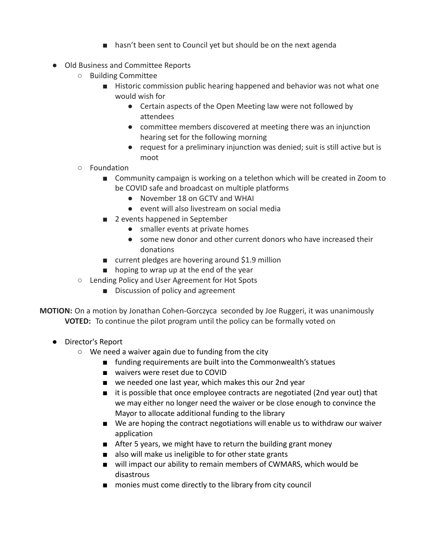- hasn't been sent to Council yet but should be on the next agenda
- Old Business and Committee Reports
	- Building Committee
		- Historic commission public hearing happened and behavior was not what one would wish for
			- Certain aspects of the Open Meeting law were not followed by attendees
			- committee members discovered at meeting there was an injunction hearing set for the following morning
			- request for a preliminary injunction was denied; suit is still active but is moot
	- Foundation
		- Community campaign is working on a telethon which will be created in Zoom to be COVID safe and broadcast on multiple platforms
			- November 18 on GCTV and WHAI
			- event will also livestream on social media
		- 2 events happened in September
			- smaller events at private homes
			- some new donor and other current donors who have increased their donations
		- current pledges are hovering around \$1.9 million
		- hoping to wrap up at the end of the year
	- Lending Policy and User Agreement for Hot Spots
		- Discussion of policy and agreement

**MOTION:** On a motion by Jonathan Cohen-Gorczyca seconded by Joe Ruggeri, it was unanimously **VOTED:** To continue the pilot program until the policy can be formally voted on

- Director's Report
	- We need a waiver again due to funding from the city
		- funding requirements are built into the Commonwealth's statues
		- waivers were reset due to COVID
		- we needed one last year, which makes this our 2nd year
		- it is possible that once employee contracts are negotiated (2nd year out) that we may either no longer need the waiver or be close enough to convince the Mayor to allocate additional funding to the library
		- We are hoping the contract negotiations will enable us to withdraw our waiver application
		- After 5 years, we might have to return the building grant money
		- also will make us ineligible to for other state grants
		- will impact our ability to remain members of CWMARS, which would be disastrous
		- monies must come directly to the library from city council